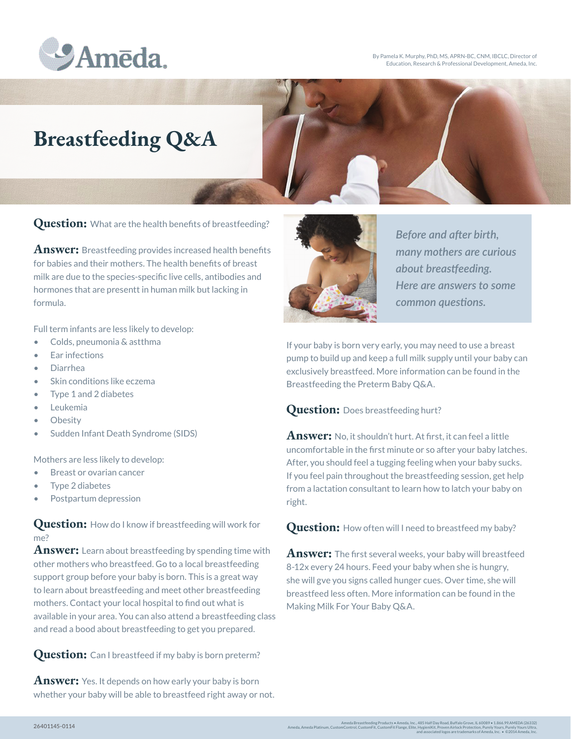

By Pamela K. Murphy, PhD, MS, APRN-BC, CNM, IBCLC, Director of Education, Research & Professional Development, Ameda, Inc.

## **Breastfeeding Q&A**

**Question:** What are the health benefits of breastfeeding?

**Answer:** Breastfeeding provides increased health benefits for babies and their mothers. The health benefits of breast milk are due to the species-specific live cells, antibodies and hormones that are presentt in human milk but lacking in formula.

Full term infants are less likely to develop:

- Colds, pneumonia & astthma
- Ear infections
- Diarrhea
- Skin conditions like eczema
- Type 1 and 2 diabetes
- Leukemia
- Obesity
- Sudden Infant Death Syndrome (SIDS)

Mothers are less likely to develop:

- Breast or ovarian cancer
- Type 2 diabetes
- Postpartum depression

**Question:** How do I know if breastfeeding will work for me?

**Answer:** Learn about breastfeeding by spending time with other mothers who breastfeed. Go to a local breastfeeding support group before your baby is born. This is a great way to learn about breastfeeding and meet other breastfeeding mothers. Contact your local hospital to find out what is available in your area. You can also attend a breastfeeding class and read a bood about breastfeeding to get you prepared.

**Question:** Can I breastfeed if my baby is born preterm?

**Answer:** Yes. It depends on how early your baby is born whether your baby will be able to breastfeed right away or not.



*Before and after birth, many mothers are curious about breastfeeding. Here are answers to some common questions.*

If your baby is born very early, you may need to use a breast pump to build up and keep a full milk supply until your baby can exclusively breastfeed. More information can be found in the Breastfeeding the Preterm Baby Q&A.

## Question: Does breastfeeding hurt?

**Answer:** No, it shouldn't hurt. At first, it can feel a little uncomfortable in the first minute or so after your baby latches. After, you should feel a tugging feeling when your baby sucks. If you feel pain throughout the breastfeeding session, get help from a lactation consultant to learn how to latch your baby on right.

**Question:** How often will I need to breastfeed my baby?

**Answer:** The first several weeks, your baby will breastfeed 8-12x every 24 hours. Feed your baby when she is hungry, she will gve you signs called hunger cues. Over time, she will breastfeed less often. More information can be found in the Making Milk For Your Baby Q&A.